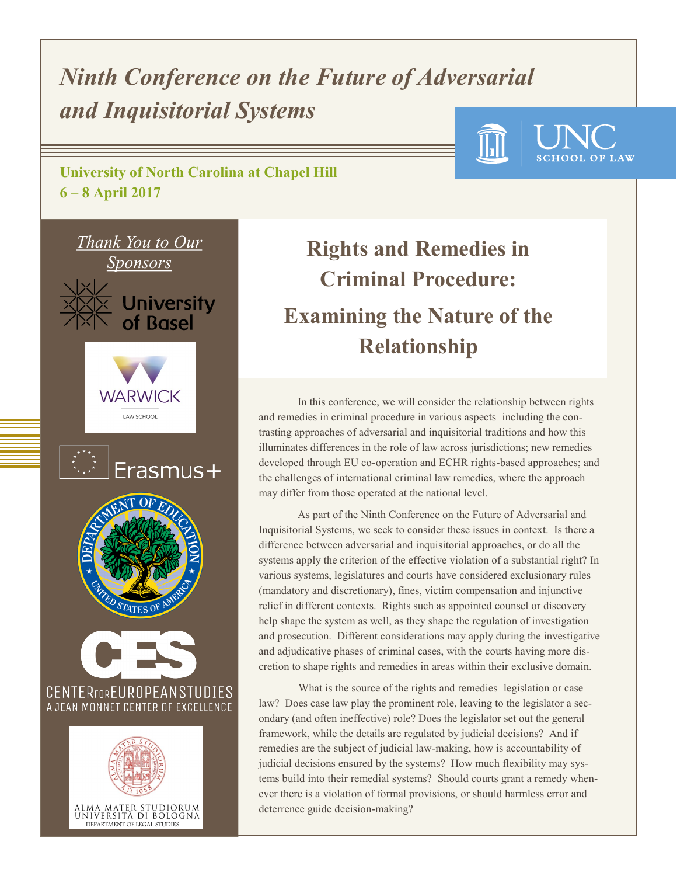# *Ninth Conference on the Future of Adversarial and Inquisitorial Systems*

**University of North Carolina at Chapel Hill 6 – 8 April 2017** 



# **Rights and Remedies in Criminal Procedure: Examining the Nature of the Relationship**

**SCHOOL OF LAW** 

In this conference, we will consider the relationship between rights and remedies in criminal procedure in various aspects–including the contrasting approaches of adversarial and inquisitorial traditions and how this illuminates differences in the role of law across jurisdictions; new remedies developed through EU co-operation and ECHR rights-based approaches; and the challenges of international criminal law remedies, where the approach may differ from those operated at the national level.

As part of the Ninth Conference on the Future of Adversarial and Inquisitorial Systems, we seek to consider these issues in context. Is there a difference between adversarial and inquisitorial approaches, or do all the systems apply the criterion of the effective violation of a substantial right? In various systems, legislatures and courts have considered exclusionary rules (mandatory and discretionary), fines, victim compensation and injunctive relief in different contexts. Rights such as appointed counsel or discovery help shape the system as well, as they shape the regulation of investigation and prosecution. Different considerations may apply during the investigative and adjudicative phases of criminal cases, with the courts having more discretion to shape rights and remedies in areas within their exclusive domain.

What is the source of the rights and remedies–legislation or case law? Does case law play the prominent role, leaving to the legislator a secondary (and often ineffective) role? Does the legislator set out the general framework, while the details are regulated by judicial decisions? And if remedies are the subject of judicial law-making, how is accountability of judicial decisions ensured by the systems? How much flexibility may systems build into their remedial systems? Should courts grant a remedy whenever there is a violation of formal provisions, or should harmless error and deterrence guide decision-making?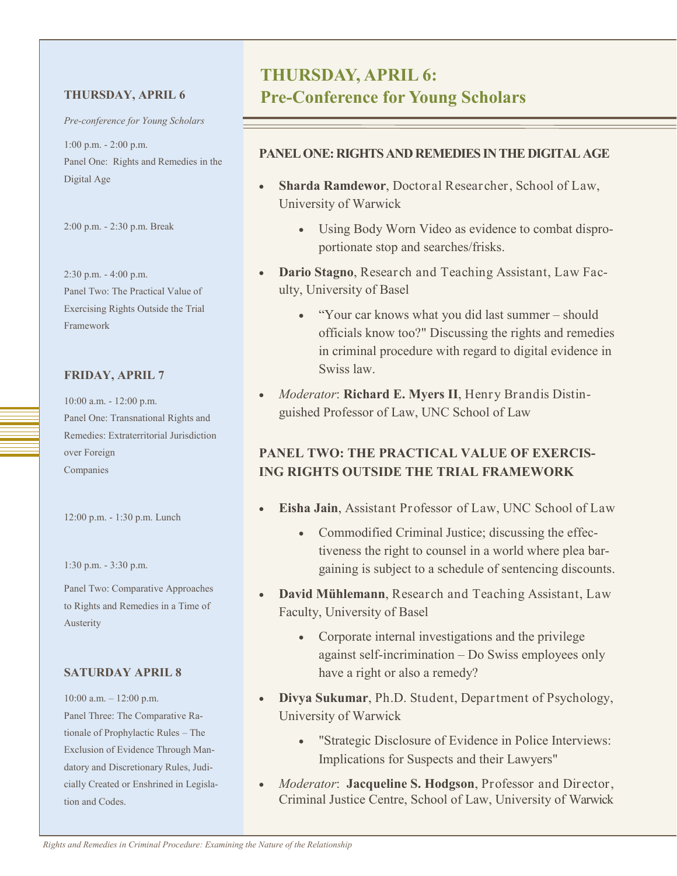*Pre-conference for Young Scholars*

1:00 p.m. - 2:00 p.m. Panel One: Rights and Remedies in the Digital Age

2:00 p.m. - 2:30 p.m. Break

2:30 p.m. - 4:00 p.m. Panel Two: The Practical Value of Exercising Rights Outside the Trial Framework

#### **FRIDAY, APRIL 7**

10:00 a.m. - 12:00 p.m. Panel One: Transnational Rights and Remedies: Extraterritorial Jurisdiction over Foreign Companies

12:00 p.m. - 1:30 p.m. Lunch

1:30 p.m. - 3:30 p.m.

Panel Two: Comparative Approaches to Rights and Remedies in a Time of Austerity

#### **SATURDAY APRIL 8**

10:00 a.m. – 12:00 p.m. Panel Three: The Comparative Rationale of Prophylactic Rules – The Exclusion of Evidence Through Mandatory and Discretionary Rules, Judicially Created or Enshrined in Legislation and Codes.

### **THURSDAY, APRIL 6: THURSDAY, APRIL 6 Pre-Conference for Young Scholars**

#### **PANEL ONE: RIGHTS AND REMEDIES IN THE DIGITAL AGE**

- **Sharda Ramdewor**, Doctoral Researcher, School of Law, University of Warwick
	- Using Body Worn Video as evidence to combat disproportionate stop and searches/frisks.
- **Dario Stagno**, Research and Teaching Assistant, Law Faculty, University of Basel
	- "Your car knows what you did last summer should officials know too?" Discussing the rights and remedies in criminal procedure with regard to digital evidence in Swiss law.
- *Moderator*: **Richard E. Myers II**, Henry Brandis Distinguished Professor of Law, UNC School of Law

#### **PANEL TWO: THE PRACTICAL VALUE OF EXERCIS-ING RIGHTS OUTSIDE THE TRIAL FRAMEWORK**

- **Eisha Jain**, Assistant Professor of Law, UNC School of Law
	- Commodified Criminal Justice; discussing the effectiveness the right to counsel in a world where plea bargaining is subject to a schedule of sentencing discounts.
- **David Mühlemann**, Research and Teaching Assistant, Law Faculty, University of Basel
	- Corporate internal investigations and the privilege against self-incrimination – Do Swiss employees only have a right or also a remedy?
- **Divya Sukumar**, Ph.D. Student, Department of Psychology, University of Warwick
	- "Strategic Disclosure of Evidence in Police Interviews: Implications for Suspects and their Lawyers"
- *Moderator*: **Jacqueline S. Hodgson**, Professor and Director, Criminal Justice Centre, School of Law, University of Warwick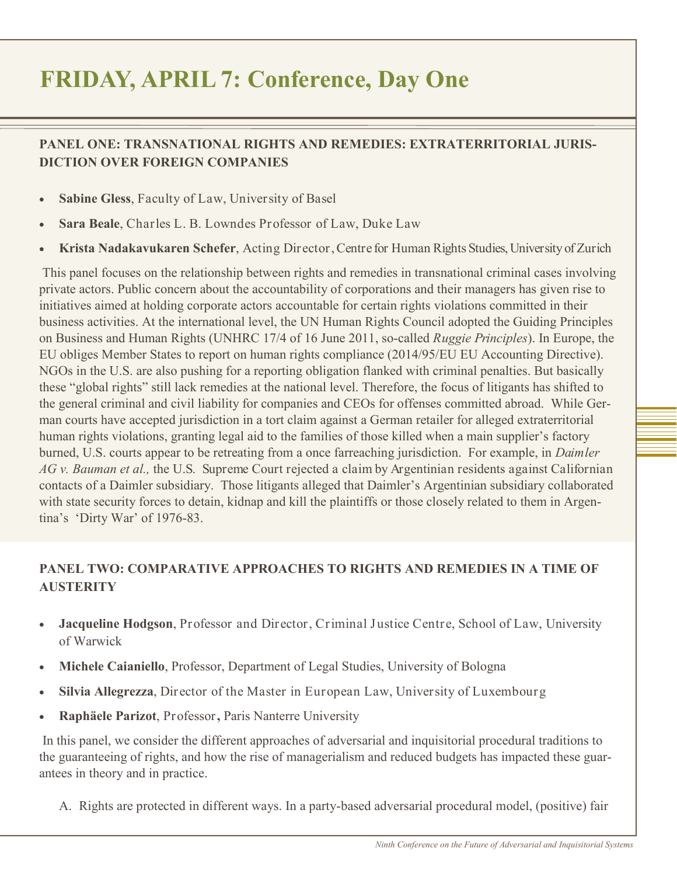# **FRIDAY, APRIL 7: Conference, Day One**

### **PANEL ONE: TRANSNATIONAL RIGHTS AND REMEDIES: EXTRATERRITORIAL JURIS-DICTION OVER FOREIGN COMPANIES**

- **Sabine Gless**, Faculty of Law, University of Basel
- **Sara Beale**, Charles L. B. Lowndes Professor of Law, Duke Law
- **Krista Nadakavukaren Schefer**, Acting Director, Centre for Human Rights Studies, University of Zurich

This panel focuses on the relationship between rights and remedies in transnational criminal cases involving private actors. Public concern about the accountability of corporations and their managers has given rise to initiatives aimed at holding corporate actors accountable for certain rights violations committed in their business activities. At the international level, the UN Human Rights Council adopted the Guiding Principles on Business and Human Rights (UNHRC 17/4 of 16 June 2011, so-called *Ruggie Principles*). In Europe, the EU obliges Member States to report on human rights compliance (2014/95/EU EU Accounting Directive). NGOs in the U.S. are also pushing for a reporting obligation flanked with criminal penalties. But basically these "global rights" still lack remedies at the national level. Therefore, the focus of litigants has shifted to the general criminal and civil liability for companies and CEOs for offenses committed abroad. While German courts have accepted jurisdiction in a tort claim against a German retailer for alleged extraterritorial human rights violations, granting legal aid to the families of those killed when a main supplier's factory burned, U.S. courts appear to be retreating from a once farreaching jurisdiction. For example, in *Daimler AG v. Bauman et al.,* the U.S. Supreme Court rejected a claim by Argentinian residents against Californian contacts of a Daimler subsidiary. Those litigants alleged that Daimler's Argentinian subsidiary collaborated with state security forces to detain, kidnap and kill the plaintiffs or those closely related to them in Argentina's 'Dirty War' of 1976-83.

### **PANEL TWO: COMPARATIVE APPROACHES TO RIGHTS AND REMEDIES IN A TIME OF AUSTERITY**

- **Jacqueline Hodgson**, Professor and Director, Criminal Justice Centre, School of Law, University of Warwick
- **Michele Caianiello**, Professor, Department of Legal Studies, University of Bologna
- **Silvia Allegrezza**, Director of the Master in European Law, University of Luxembourg
- **Raphäele Parizot**, Professor**,** Paris Nanterre University

In this panel, we consider the different approaches of adversarial and inquisitorial procedural traditions to the guaranteeing of rights, and how the rise of managerialism and reduced budgets has impacted these guarantees in theory and in practice.

A. Rights are protected in different ways. In a party-based adversarial procedural model, (positive) fair